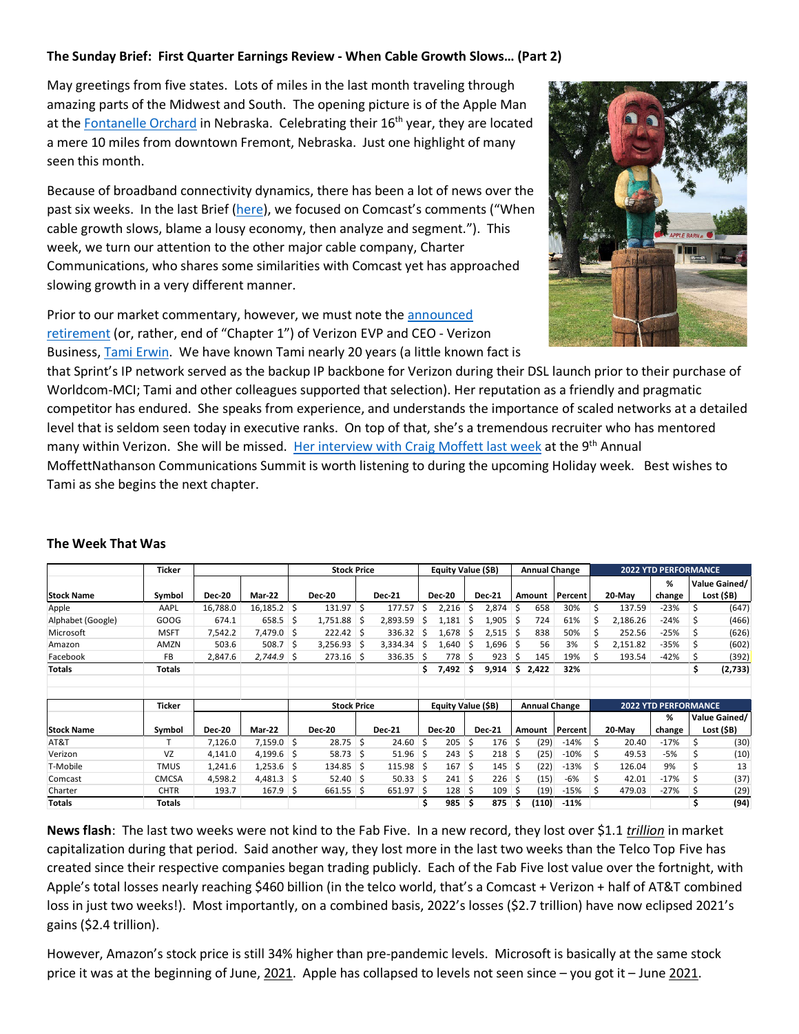## **The Sunday Brief: First Quarter Earnings Review - When Cable Growth Slows… (Part 2)**

May greetings from five states. Lots of miles in the last month traveling through amazing parts of the Midwest and South. The opening picture is of the Apple Man at the [Fontanelle Orchard](https://www.facebook.com/pages/Fontanelle%20Orchard/148982815127159/about/?ref=page_internal) in Nebraska. Celebrating their 16<sup>th</sup> year, they are located a mere 10 miles from downtown Fremont, Nebraska. Just one highlight of many seen this month.

Because of broadband connectivity dynamics, there has been a lot of news over the past six weeks. In the last Brief [\(here\)](https://sundaybrief.com/first-quarter-earnings-review-when-cable-growth-slows-part-1/), we focused on Comcast's comments ("When cable growth slows, blame a lousy economy, then analyze and segment."). This week, we turn our attention to the other major cable company, Charter Communications, who shares some similarities with Comcast yet has approached slowing growth in a very different manner.

Prior to our market commentary, however, we must note the announced [retirement](https://www.linkedin.com/feed/update/urn:li:activity:6932035146996981761/) (or, rather, end of "Chapter 1") of Verizon EVP and CEO - Verizon Business[, Tami Erwin.](https://www.verizon.com/about/our-company/executive-bios/tami-erwin) We have known Tami nearly 20 years (a little known fact is



that Sprint's IP network served as the backup IP backbone for Verizon during their DSL launch prior to their purchase of Worldcom-MCI; Tami and other colleagues supported that selection). Her reputation as a friendly and pragmatic competitor has endured. She speaks from experience, and understands the importance of scaled networks at a detailed level that is seldom seen today in executive ranks. On top of that, she's a tremendous recruiter who has mentored many within Verizon. She will be missed. [Her interview with Craig Moffett last week](https://www.verizon.com/about/investors/moffettnathanson-9th-annual-media-communications-summit) at the 9<sup>th</sup> Annual MoffettNathanson Communications Summit is worth listening to during the upcoming Holiday week. Best wishes to

Tami as she begins the next chapter.

| Ticker            |               |               |               | <b>Stock Price</b> |               |    |               | Equity Value (\$B) |               |    |               | <b>Annual Change</b> |                      |         |    | <b>2022 YTD PERFORMANCE</b> |                             |    |                             |  |
|-------------------|---------------|---------------|---------------|--------------------|---------------|----|---------------|--------------------|---------------|----|---------------|----------------------|----------------------|---------|----|-----------------------------|-----------------------------|----|-----------------------------|--|
| <b>Stock Name</b> | Symbol        | <b>Dec-20</b> | Mar-22        |                    | <b>Dec-20</b> |    | <b>Dec-21</b> |                    | <b>Dec-20</b> |    | <b>Dec-21</b> |                      | Amount               | Percent |    | 20-May                      | %<br>change                 |    | Value Gained/<br>Lost (\$B) |  |
| Apple             | AAPL          | 16,788.0      | $16,185.2$ \$ |                    | 131.97        | Ŝ. | 177.57        | Ś                  | 2,216         | Ś. | 2,874         |                      | 658                  | 30%     | Ś  | 137.59                      | $-23%$                      | \$ | (647)                       |  |
| Alphabet (Google) | GOOG          | 674.1         | 658.5         | -\$                | 1,751.88      | .s | 2,893.59      | S                  | 1,181         | S  | 1,905         | -S                   | 724                  | 61%     | Ś. | 2,186.26                    | $-24%$                      | S  | (466)                       |  |
| Microsoft         | <b>MSFT</b>   | 7,542.2       | 7,479.0 \$    |                    | 222.42        | Ŝ. | 336.32        | s                  | 1,678         | S  | 2,515         | ∣\$                  | 838                  | 50%     | Ś. | 252.56                      | $-25%$                      | S  | (626)                       |  |
| Amazon            | AMZN          | 503.6         | 508.7         | \$.                | 3,256.93      | -S | 3,334.34      | S                  | 1,640         | S  | $1,696$ \$    |                      | 56                   | 3%      | \$ | 2,151.82                    | -35%                        |    | (602)                       |  |
| Facebook          | FB            | 2,847.6       | 2,744.9       | -S                 | 273.16        | -S | 336.35        | S                  | 778           | S  | 923           |                      | 145                  | 19%     | S  | 193.54                      | $-42%$                      |    | (392)                       |  |
| Totals            | Totals        |               |               |                    |               |    |               | \$                 | 7,492         | s  | 9,914         | Ŝ.                   | 2,422                | 32%     |    |                             |                             | \$ | (2,733)                     |  |
|                   | <b>Ticker</b> |               |               | <b>Stock Price</b> |               |    |               | Equity Value (\$B) |               |    |               |                      | <b>Annual Change</b> |         |    |                             | <b>2022 YTD PERFORMANCE</b> |    |                             |  |
|                   |               |               |               |                    |               |    |               |                    |               |    |               |                      |                      |         |    |                             | %                           |    | Value Gained/               |  |
| <b>Stock Name</b> | Symbol        | <b>Dec-20</b> | Mar-22        |                    | <b>Dec-20</b> |    | <b>Dec-21</b> |                    | <b>Dec-20</b> |    | <b>Dec-21</b> |                      | Amount               | Percent |    | 20-May                      | change                      |    | Lost (\$B)                  |  |
| AT&T              |               | 7,126.0       | $7,159.0$ \$  |                    | 28.75         | Ŝ. | 24.60         | Ŝ                  | 205           | Ś. | 176           | ς                    | (29)                 | $-14%$  | Ś  | 20.40                       | $-17%$                      | Ś  | (30)                        |  |
| Verizon           | VZ            | 4,141.0       | 4,199.6       | -S                 | 58.73         | Ŝ. | 51.96         | -\$                | 243           | Ŝ. | 218           | S                    | (25)                 | $-10%$  | \$ | 49.53                       | $-5%$                       | S  | (10)                        |  |
| T-Mobile          | <b>TMUS</b>   | 1,241.6       | $1,253.6$ \$  |                    | 134.85        | Ŝ. | 115.98        | S.                 | 167           | Ŝ. | 145           | S                    | (22)                 | $-13%$  | Ś  | 126.04                      | 9%                          |    | 13                          |  |
| Comcast           | <b>CMCSA</b>  | 4,598.2       | 4,481.3       | -S                 | 52.40         | Ŝ. | 50.33         | Ŝ                  | 241           | Ś. | 226           |                      | (15)                 | -6%     | Ś  | 42.01                       | $-17%$                      |    | (37)                        |  |
| Charter           | <b>CHTR</b>   | 193.7         | 167.9         | Ŝ                  | 661.55        | .s | 651.97        | S                  | 128           | S  | 109           |                      | (19)                 | $-15%$  | S  | 479.03                      | $-27%$                      |    | (29)                        |  |
| <b>Totals</b>     | Totals        |               |               |                    |               |    |               | \$                 | 985           | \$ | 875           | S                    | (110)                | $-11%$  |    |                             |                             | Ś  | (94)                        |  |

## **The Week That Was**

**News flash**: The last two weeks were not kind to the Fab Five. In a new record, they lost over \$1.1 *trillion* in market capitalization during that period. Said another way, they lost more in the last two weeks than the Telco Top Five has created since their respective companies began trading publicly. Each of the Fab Five lost value over the fortnight, with Apple's total losses nearly reaching \$460 billion (in the telco world, that's a Comcast + Verizon + half of AT&T combined loss in just two weeks!). Most importantly, on a combined basis, 2022's losses (\$2.7 trillion) have now eclipsed 2021's gains (\$2.4 trillion).

However, Amazon's stock price is still 34% higher than pre-pandemic levels. Microsoft is basically at the same stock price it was at the beginning of June, 2021. Apple has collapsed to levels not seen since – you got it – June 2021.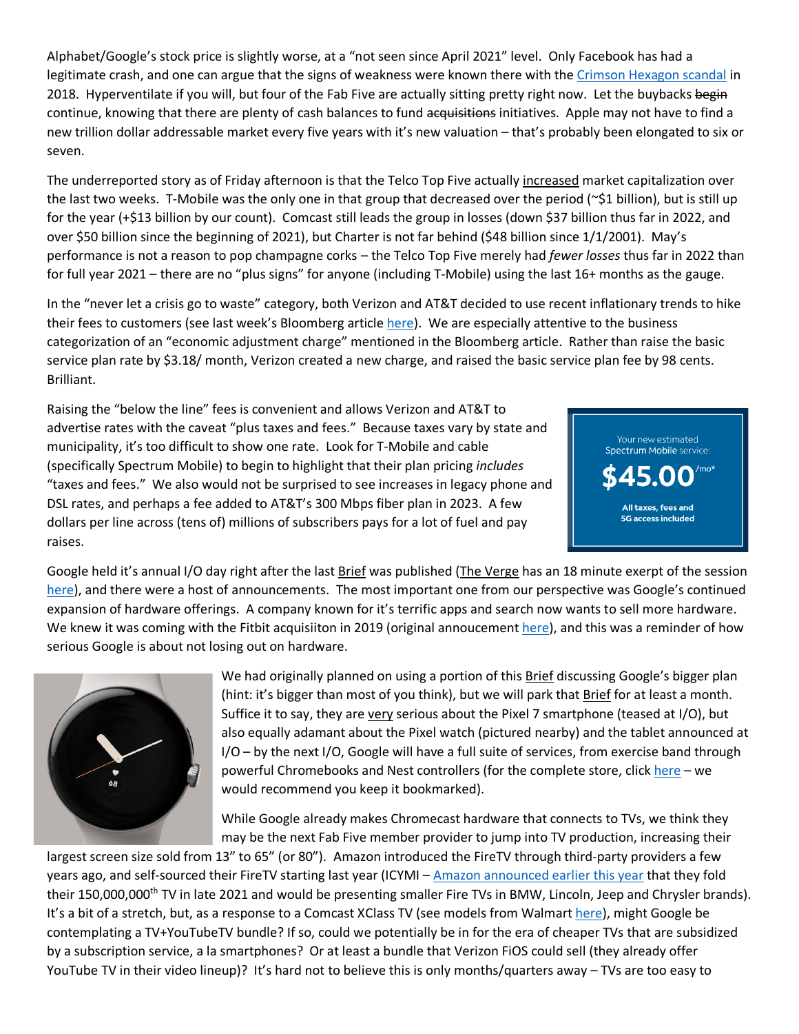Alphabet/Google's stock price is slightly worse, at a "not seen since April 2021" level. Only Facebook has had a legitimate crash, and one can argue that the signs of weakness were known there with the [Crimson Hexagon scandal](https://www.washingtonpost.com/technology/2018/07/20/why-facebook-just-suspended-another-data-analytics-firm/) in 2018. Hyperventilate if you will, but four of the Fab Five are actually sitting pretty right now. Let the buybacks begin continue, knowing that there are plenty of cash balances to fund acquisitions initiatives. Apple may not have to find a new trillion dollar addressable market every five years with it's new valuation – that's probably been elongated to six or seven.

The underreported story as of Friday afternoon is that the Telco Top Five actually increased market capitalization over the last two weeks. T-Mobile was the only one in that group that decreased over the period ( $\sim$ \$1 billion), but is still up for the year (+\$13 billion by our count). Comcast still leads the group in losses (down \$37 billion thus far in 2022, and over \$50 billion since the beginning of 2021), but Charter is not far behind (\$48 billion since 1/1/2001). May's performance is not a reason to pop champagne corks – the Telco Top Five merely had *fewer losses* thus far in 2022 than for full year 2021 – there are no "plus signs" for anyone (including T-Mobile) using the last 16+ months as the gauge.

In the "never let a crisis go to waste" category, both Verizon and AT&T decided to use recent inflationary trends to hike their fees to customers (see last week's Bloomberg articl[e here\)](https://www.bloomberg.com/news/articles/2022-05-16/verizon-raises-wireless-prices-for-consumers-business-customers). We are especially attentive to the business categorization of an "economic adjustment charge" mentioned in the Bloomberg article. Rather than raise the basic service plan rate by \$3.18/ month, Verizon created a new charge, and raised the basic service plan fee by 98 cents. Brilliant.

Raising the "below the line" fees is convenient and allows Verizon and AT&T to advertise rates with the caveat "plus taxes and fees." Because taxes vary by state and municipality, it's too difficult to show one rate. Look for T-Mobile and cable (specifically Spectrum Mobile) to begin to highlight that their plan pricing *includes* "taxes and fees." We also would not be surprised to see increases in legacy phone and DSL rates, and perhaps a fee added to AT&T's 300 Mbps fiber plan in 2023. A few dollars per line across (tens of) millions of subscribers pays for a lot of fuel and pay raises.



Google held it's annual I/O day right after the last Brief was published (The Verge has an 18 minute exerpt of the session [here\)](https://www.youtube.com/watch?v=U82aw8WEYAM&t=6s), and there were a host of announcements. The most important one from our perspective was Google's continued expansion of hardware offerings. A company known for it's terrific apps and search now wants to sell more hardware. We knew it was coming with the Fitbit acquisiiton in 2019 (original annoucemen[t here\)](https://www.businesswire.com/news/home/20191101005318/en/Fitbit-to-Be-Acquired-by-Google), and this was a reminder of how serious Google is about not losing out on hardware.



We had originally planned on using a portion of this Brief discussing Google's bigger plan (hint: it's bigger than most of you think), but we will park that Brief for at least a month. Suffice it to say, they are very serious about the Pixel 7 smartphone (teased at I/O), but also equally adamant about the Pixel watch (pictured nearby) and the tablet announced at I/O – by the next I/O, Google will have a full suite of services, from exercise band through powerful Chromebooks and Nest controllers (for the complete store, click [here](https://store.google.com/?pli=1&hl=en-US) – we would recommend you keep it bookmarked).

While Google already makes Chromecast hardware that connects to TVs, we think they may be the next Fab Five member provider to jump into TV production, increasing their

largest screen size sold from 13" to 65" (or 80"). Amazon introduced the FireTV through third-party providers a few years ago, and self-sourced their FireTV starting last year (ICYMI – [Amazon announced earlier this year](https://amazonfiretv.blog/fire-tv-is-on-the-move-in-2022-e3f8860bc6b9) that they fold their 150,000,000<sup>th</sup> TV in late 2021 and would be presenting smaller Fire TVs in BMW, Lincoln, Jeep and Chrysler brands). It's a bit of a stretch, but, as a response to a Comcast XClass TV (see models from Walmart [here\)](https://www.walmart.com/ip/Hisense-XClass-TV-43-Inch-4K-UHD-A6-Smart-Series-43A6GX/357811284?wmlspartner=wlpa&selectedSellerId=0&&adid=22222222227506945091&wl0=&wl1=g&wl2=c&wl3=562471518618&wl4=pla-1464213538273&wl5=9023256&wl6=&wl7=&wl8=&wl9=pla&wl10=8175035&wl11=online&wl12=357811284&veh=sem&gclid=Cj0KCQjwm6KUBhC3ARIsACIwxBhd-LeE-NakWeY3yMxXBpsHC0h4lGX3bkej_CQ6qQC5Oqi3GDEvVpsaAgsYEALw_wcB&gclsrc=aw.ds), might Google be contemplating a TV+YouTubeTV bundle? If so, could we potentially be in for the era of cheaper TVs that are subsidized by a subscription service, a la smartphones? Or at least a bundle that Verizon FiOS could sell (they already offer YouTube TV in their video lineup)? It's hard not to believe this is only months/quarters away – TVs are too easy to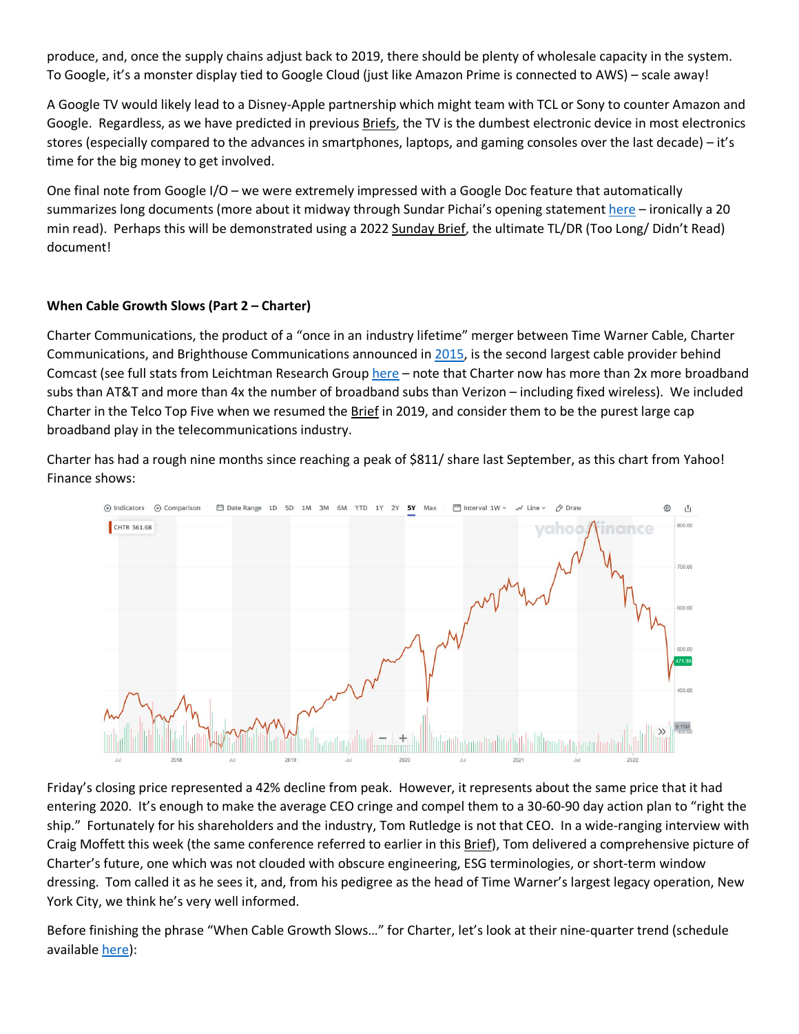produce, and, once the supply chains adjust back to 2019, there should be plenty of wholesale capacity in the system. To Google, it's a monster display tied to Google Cloud (just like Amazon Prime is connected to AWS) – scale away!

A Google TV would likely lead to a Disney-Apple partnership which might team with TCL or Sony to counter Amazon and Google. Regardless, as we have predicted in previous Briefs, the TV is the dumbest electronic device in most electronics stores (especially compared to the advances in smartphones, laptops, and gaming consoles over the last decade) – it's time for the big money to get involved.

One final note from Google I/O – we were extremely impressed with a Google Doc feature that automatically summarizes long documents (more about it midway through Sundar Pichai's opening statement [here –](https://blog.google/technology/developers/io-2022-keynote/) ironically a 20 min read). Perhaps this will be demonstrated using a 2022 Sunday Brief, the ultimate TL/DR (Too Long/ Didn't Read) document!

## **When Cable Growth Slows (Part 2 – Charter)**

Charter Communications, the product of a "once in an industry lifetime" merger between Time Warner Cable, Charter Communications, and Brighthouse Communications announced in [2015,](https://www.leichtmanresearch.com/about-1065000-added-broadband-in-1q-2022/) is the second largest cable provider behind Comcast (see full stats from Leichtman Research Group [here](https://www.leichtmanresearch.com/about-1065000-added-broadband-in-1q-2022/) – note that Charter now has more than 2x more broadband subs than AT&T and more than 4x the number of broadband subs than Verizon – including fixed wireless). We included Charter in the Telco Top Five when we resumed the Brief in 2019, and consider them to be the purest large cap broadband play in the telecommunications industry.

Charter has had a rough nine months since reaching a peak of \$811/ share last September, as this chart from Yahoo! Finance shows:



Friday's closing price represented a 42% decline from peak. However, it represents about the same price that it had entering 2020. It's enough to make the average CEO cringe and compel them to a 30-60-90 day action plan to "right the ship." Fortunately for his shareholders and the industry, Tom Rutledge is not that CEO. In a wide-ranging interview with Craig Moffett this week (the same conference referred to earlier in this Brief), Tom delivered a comprehensive picture of Charter's future, one which was not clouded with obscure engineering, ESG terminologies, or short-term window dressing. Tom called it as he sees it, and, from his pedigree as the head of Time Warner's largest legacy operation, New York City, we think he's very well informed.

Before finishing the phrase "When Cable Growth Slows…" for Charter, let's look at their nine-quarter trend (schedule available [here\)](https://ir.charter.com/financial-information/quarterly-results):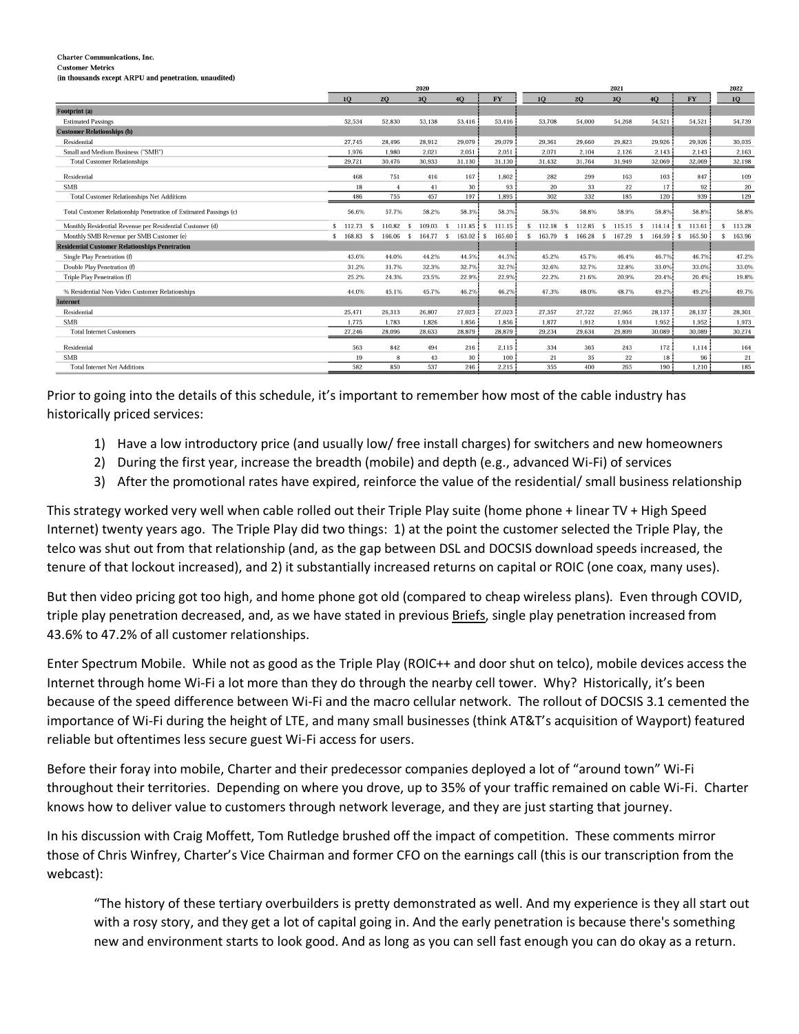**Charter Communications. Inc.** 

**Customer Metrics** (in thousands except ARPU and penetration, unaudited)

|                                                                   | 2020     |    |                |  |           |                        |               |    | 2021            |     |        |                |    |                        | 2022      |                  |
|-------------------------------------------------------------------|----------|----|----------------|--|-----------|------------------------|---------------|----|-----------------|-----|--------|----------------|----|------------------------|-----------|------------------|
|                                                                   | 10       |    | 20             |  | 3Q        | 40                     | <b>FY</b>     |    | 10 <sup>1</sup> | 20  |        | 3 <sub>O</sub> | 40 |                        | <b>FY</b> | 10 <sup>10</sup> |
| Footprint (a)                                                     |          |    |                |  |           |                        |               |    |                 |     |        |                |    |                        |           |                  |
| <b>Estimated Passings</b>                                         | 52,534   |    | 52.830         |  | 53,138    | 53,416                 | 53,416        |    | 53,708          |     | 54,000 | 54,268         |    | 54,521                 | 54,521    | 54.739           |
| <b>Customer Relationships (b)</b>                                 |          |    |                |  |           |                        |               |    |                 |     |        |                |    |                        |           |                  |
| Residential                                                       | 27.745   |    | 28,496         |  | 28.912    | 29,079                 | 29,079        |    | 29,361          |     | 29,660 | 29,823         |    | 29.926                 | 29,926    | 30,035           |
| Small and Medium Business ("SMB")                                 | 1.976    |    | 1.980          |  | 2.021     | 2.051                  | 2.051         |    | 2.071           |     | 2.104  | 2.126          |    | 2.143                  | 2.143     | 2,163            |
| <b>Total Customer Relationships</b>                               | 29,721   |    | 30,476         |  | 30,933    | 31.130                 | 31.130        |    | 31,432          |     | 31,764 | 31,949         |    | 32,069                 | 32,069    | 32,198           |
| Residential                                                       | 468      |    | 751            |  | 416       | 167                    | 1.802         |    | 282             |     | 299    | 163            |    | 103                    | 847       | 109              |
| <b>SMB</b>                                                        | 18       |    | $\overline{4}$ |  | 41        | 30                     | 93            |    | 20              |     | 33     | 22             |    | 17                     | 92        | 20               |
| <b>Total Customer Relationships Net Additions</b>                 | 486      |    | 755            |  | 457       | 197                    | 1,895         |    | 302             |     | 332    | 185            |    | 120                    | 939       | 129              |
| Total Customer Relationship Penetration of Estimated Passings (c) | 56.6%    |    | 57.7%          |  | 58.2%     | 58.3%                  | 58.3%         |    | 58.5%           |     | 58.8%  | 58.9%          |    | 58.8%                  | 58.8%     | 58.8%            |
| Monthly Residential Revenue per Residential Customer (d)          | 112.73   |    | 110.82         |  | 109.03    | 111.85                 | 111.15<br>! s | Ŝ  | 112.18          |     | 112.85 | 115.15         | \$ | $114.14$ $\frac{1}{3}$ | 113.61    | 113.28<br>\$     |
| Monthly SMB Revenue per SMB Customer (e)                          | \$168.83 | -S | 166.06 \$      |  | 164.77 \$ | $163.02$ $\frac{1}{5}$ | 165.60        | s. | 163.79          | - S | 166.28 | 167.29<br>S.   | -S | $164.59$ $\frac{1}{8}$ | 165.50    | 163.96<br>\$     |
| <b>Residential Customer Relationships Penetration</b>             |          |    |                |  |           |                        |               |    |                 |     |        |                |    |                        |           |                  |
| Single Play Penetration (f)                                       | 43.6%    |    | 44.0%          |  | 44.2%     | 44.5%                  | 44.5%         |    | 45.2%           |     | 45.7%  | 46.4%          |    | 46.7%                  | 46.7%     | 47.2%            |
| Double Play Penetration (f)                                       | 31.2%    |    | 31.7%          |  | 32.3%     | 32.7%                  | 32.7%         |    | 32.6%           |     | 32.7%  | 32.8%          |    | 33.0%                  | 33.0%     | 33.0%            |
| Triple Play Penetration (f)                                       | 25.2%    |    | 24.3%          |  | 23.5%     | 22.9%                  | 22.9%         |    | 22.2%           |     | 21.6%  | 20.9%          |    | 20.4%                  | 20.4%     | 19.8%            |
| % Residential Non-Video Customer Relationships                    | 44.0%    |    | 45.1%          |  | 45.7%     | 46.2%                  | 46.2%         |    | 47.3%           |     | 48.0%  | 48.7%          |    | 49.2%                  | 49.2%     | 49.7%            |
| <b>Internet</b>                                                   |          |    |                |  |           |                        |               |    |                 |     |        |                |    |                        |           |                  |
| Residential                                                       | 25,471   |    | 26,313         |  | 26,807    | 27,023                 | 27,023        |    | 27,357          |     | 27,722 | 27,965         |    | 28,137                 | 28.137    | 28,301           |
| <b>SMB</b>                                                        | 1.775    |    | 1.783          |  | 1,826     | 1,856                  | 1,856         |    | 1,877           |     | 1,912  | 1,934          |    | 1,952                  | 1.952     | 1,973            |
| <b>Total Internet Customers</b>                                   | 27,246   |    | 28,096         |  | 28,633    | 28,879                 | 28,879        |    | 29,234          |     | 29,634 | 29,899         |    | 30,089                 | 30.089    | 30,274           |
| Residential                                                       | 563      |    | 842            |  | 494       | 216                    | 2,115         |    | 334             |     | 365    | 243            |    | 172                    | 1,114     | 164              |
| <b>SMB</b>                                                        | 19       |    | 8              |  | 43        | 30                     | 100           |    | 21              |     | 35     | 22             |    | 18                     | 96        | 21               |
| <b>Total Internet Net Additions</b>                               | 582      |    | 850            |  | 537       | 246                    | 2.215         |    | 355             |     | 400    | 265            |    | 190                    | 1.210     | 185              |

Prior to going into the details of this schedule, it's important to remember how most of the cable industry has historically priced services:

- 1) Have a low introductory price (and usually low/ free install charges) for switchers and new homeowners
- 2) During the first year, increase the breadth (mobile) and depth (e.g., advanced Wi-Fi) of services
- 3) After the promotional rates have expired, reinforce the value of the residential/ small business relationship

This strategy worked very well when cable rolled out their Triple Play suite (home phone + linear TV + High Speed Internet) twenty years ago. The Triple Play did two things: 1) at the point the customer selected the Triple Play, the telco was shut out from that relationship (and, as the gap between DSL and DOCSIS download speeds increased, the tenure of that lockout increased), and 2) it substantially increased returns on capital or ROIC (one coax, many uses).

But then video pricing got too high, and home phone got old (compared to cheap wireless plans). Even through COVID, triple play penetration decreased, and, as we have stated in previous Briefs, single play penetration increased from 43.6% to 47.2% of all customer relationships.

Enter Spectrum Mobile. While not as good as the Triple Play (ROIC++ and door shut on telco), mobile devices access the Internet through home Wi-Fi a lot more than they do through the nearby cell tower. Why? Historically, it's been because of the speed difference between Wi-Fi and the macro cellular network. The rollout of DOCSIS 3.1 cemented the importance of Wi-Fi during the height of LTE, and many small businesses (think AT&T's acquisition of Wayport) featured reliable but oftentimes less secure guest Wi-Fi access for users.

Before their foray into mobile, Charter and their predecessor companies deployed a lot of "around town" Wi-Fi throughout their territories. Depending on where you drove, up to 35% of your traffic remained on cable Wi-Fi. Charter knows how to deliver value to customers through network leverage, and they are just starting that journey.

In his discussion with Craig Moffett, Tom Rutledge brushed off the impact of competition. These comments mirror those of Chris Winfrey, Charter's Vice Chairman and former CFO on the earnings call (this is our transcription from the webcast):

"The history of these tertiary overbuilders is pretty demonstrated as well. And my experience is they all start out with a rosy story, and they get a lot of capital going in. And the early penetration is because there's something new and environment starts to look good. And as long as you can sell fast enough you can do okay as a return.